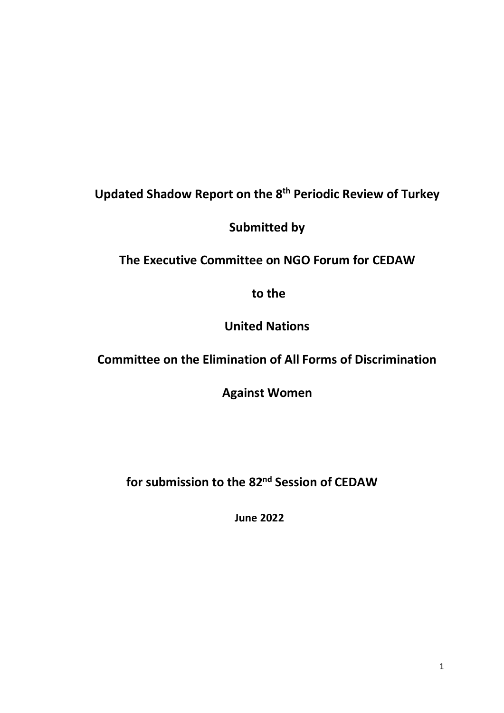# **Updated Shadow Report on the 8 th Periodic Review of Turkey**

**Submitted by** 

**The Executive Committee on NGO Forum for CEDAW**

**to the** 

**United Nations** 

# **Committee on the Elimination of All Forms of Discrimination**

**Against Women**

**for submission to the 82 nd Session of CEDAW**

**June 2022**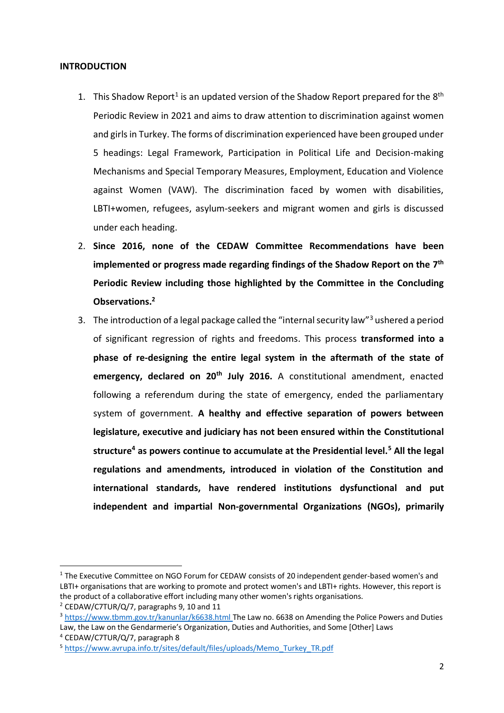#### **INTRODUCTION**

- 1. This Shadow Report<sup>1</sup> is an updated version of the Shadow Report prepared for the  $8<sup>th</sup>$ Periodic Review in 2021 and aims to draw attention to discrimination against women and girls in Turkey. The forms of discrimination experienced have been grouped under 5 headings: Legal Framework, Participation in Political Life and Decision-making Mechanisms and Special Temporary Measures, Employment, Education and Violence against Women (VAW). The discrimination faced by women with disabilities, LBTI+women, refugees, asylum-seekers and migrant women and girls is discussed under each heading.
- 2. **Since 2016, none of the CEDAW Committee Recommendations have been implemented or progress made regarding findings of the Shadow Report on the 7 th Periodic Review including those highlighted by the Committee in the Concluding Observations.<sup>2</sup>**
- 3. The introduction of a legal package called the "internal security law"<sup>3</sup> ushered a period of significant regression of rights and freedoms. This process **transformed into a phase of re-designing the entire legal system in the aftermath of the state of emergency, declared on 20th July 2016.** A constitutional amendment, enacted following a referendum during the state of emergency, ended the parliamentary system of government. **A healthy and effective separation of powers between legislature, executive and judiciary has not been ensured within the Constitutional structure<sup>4</sup> as powers continue to accumulate at the Presidential level.<sup>5</sup> All the legal regulations and amendments, introduced in violation of the Constitution and international standards, have rendered institutions dysfunctional and put independent and impartial Non-governmental Organizations (NGOs), primarily**

**.** 

Law, the Law on the Gendarmerie's Organization, Duties and Authorities, and Some [Other] Laws <sup>4</sup> CEDAW/C7TUR/Q/7, paragraph 8

<sup>&</sup>lt;sup>1</sup> The Executive Committee on NGO Forum for CEDAW consists of 20 independent gender-based women's and LBTI+ organisations that are working to promote and protect women's and LBTI+ rights. However, this report is the product of a collaborative effort including many other women's rights organisations.

<sup>2</sup> CEDAW/C7TUR/Q/7, paragraphs 9, 10 and 11

<sup>&</sup>lt;sup>3</sup> <https://www.tbmm.gov.tr/kanunlar/k6638.html> The Law no. 6638 on Amending the Police Powers and Duties

<sup>5</sup> [https://www.avrupa.info.tr/sites/default/files/uploads/Memo\\_Turkey\\_TR.pdf](https://www.avrupa.info.tr/sites/default/files/uploads/Memo_Turkey_TR.pdf)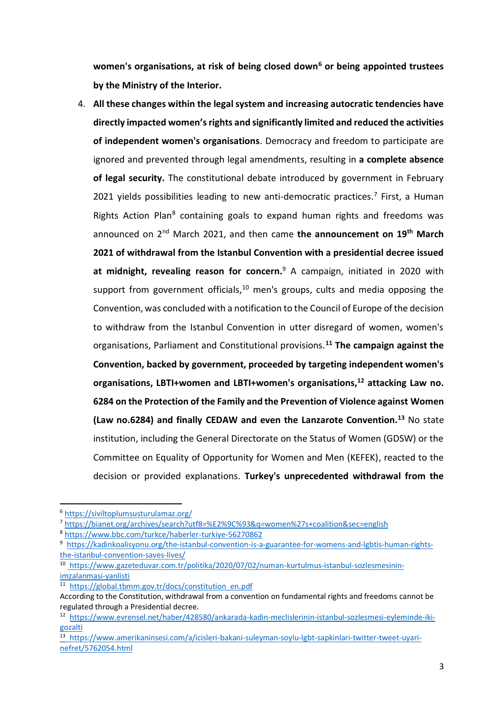**women's organisations, at risk of being closed down<sup>6</sup> or being appointed trustees by the Ministry of the Interior.**

4. **All these changes within the legal system and increasing autocratic tendencies have directly impacted women's rights and significantly limited and reduced the activities of independent women's organisations**. Democracy and freedom to participate are ignored and prevented through legal amendments, resulting in **a complete absence of legal security.** The constitutional debate introduced by government in February 2021 yields possibilities leading to new anti-democratic practices.<sup>7</sup> First, a Human Rights Action Plan<sup>8</sup> containing goals to expand human rights and freedoms was announced on 2nd March 2021, and then came **the announcement on 19th March 2021 of withdrawal from the Istanbul Convention with a presidential decree issued at midnight, revealing reason for concern.**<sup>9</sup> A campaign, initiated in 2020 with support from government officials,<sup>10</sup> men's groups, cults and media opposing the Convention, was concluded with a notification to the Council of Europe of the decision to withdraw from the Istanbul Convention in utter disregard of women, women's organisations, Parliament and Constitutional provisions.**<sup>11</sup> The campaign against the Convention, backed by government, proceeded by targeting independent women's organisations, LBTI+women and LBTI+women's organisations,<sup>12</sup> attacking Law no. 6284 on the Protection of the Family and the Prevention of Violence against Women (Law no.6284) and finally CEDAW and even the Lanzarote Convention.<sup>13</sup>** No state institution, including the General Directorate on the Status of Women (GDSW) or the Committee on Equality of Opportunity for Women and Men (KEFEK), reacted to the decision or provided explanations. **Turkey's unprecedented withdrawal from the**

-

<sup>6</sup> <https://siviltoplumsusturulamaz.org/>

<sup>7</sup> <https://bianet.org/archives/search?utf8=%E2%9C%93&q=women%27s+coalition&sec=english>

<sup>8</sup> <https://www.bbc.com/turkce/haberler-turkiye-56270862>

<sup>&</sup>lt;sup>9</sup> [https://kadinkoalisyonu.org/the-istanbul-convention-is-a-guarantee-for-womens-and-lgbtis-human-rights](https://kadinkoalisyonu.org/the-istanbul-convention-is-a-guarantee-for-womens-and-lgbtis-human-rights-the-istanbul-convention-saves-lives/)[the-istanbul-convention-saves-lives/](https://kadinkoalisyonu.org/the-istanbul-convention-is-a-guarantee-for-womens-and-lgbtis-human-rights-the-istanbul-convention-saves-lives/)

<sup>10</sup> [https://www.gazeteduvar.com.tr/politika/2020/07/02/numan-kurtulmus-istanbul-sozlesmesinin](https://www.amnesty.org.tr/icerik/vazgecmiyoruz-istanbul-sozlesmesinin-eksiksiz-uygulanmasini-talep-et)[imzalanmasi-yanlisti](https://www.amnesty.org.tr/icerik/vazgecmiyoruz-istanbul-sozlesmesinin-eksiksiz-uygulanmasini-talep-et) 

<sup>&</sup>lt;sup>11</sup> [https://global.tbmm.gov.tr/docs/constitution\\_en.pdf](https://global.tbmm.gov.tr/docs/constitution_en.pdf)

According to the Constitution, withdrawal from a convention on fundamental rights and freedoms cannot be regulated through a Presidential decree.

<sup>&</sup>lt;sup>12</sup> [https://www.evrensel.net/haber/428580/ankarada-kadin-meclislerinin-istanbul-sozlesmesi-eyleminde-iki](https://www.evrensel.net/haber/428580/ankarada-kadin-meclislerinin-istanbul-sozlesmesi-eyleminde-iki-gozalti)[gozalti](https://www.evrensel.net/haber/428580/ankarada-kadin-meclislerinin-istanbul-sozlesmesi-eyleminde-iki-gozalti)

<sup>&</sup>lt;sup>13</sup> [https://www.amerikaninsesi.com/a/icisleri-bakani-suleyman-soylu-lgbt-sapkinlari-twitter-tweet-uyari](https://www.amerikaninsesi.com/a/icisleri-bakani-suleyman-soylu-lgbt-sapkinlari-twitter-tweet-uyari-nefret/5762054.html)[nefret/5762054.html](https://www.amerikaninsesi.com/a/icisleri-bakani-suleyman-soylu-lgbt-sapkinlari-twitter-tweet-uyari-nefret/5762054.html)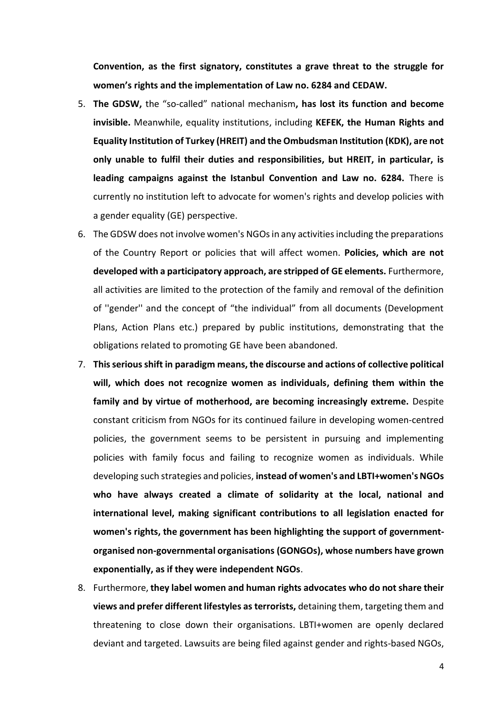**Convention, as the first signatory, constitutes a grave threat to the struggle for women's rights and the implementation of Law no. 6284 and CEDAW.**

- 5. **The GDSW,** the "so-called" national mechanism**, has lost its function and become invisible.** Meanwhile, equality institutions, including **KEFEK, the Human Rights and Equality Institution of Turkey (HREIT) and the Ombudsman Institution (KDK), are not only unable to fulfil their duties and responsibilities, but HREIT, in particular, is leading campaigns against the Istanbul Convention and Law no. 6284.** There is currently no institution left to advocate for women's rights and develop policies with a gender equality (GE) perspective.
- 6. The GDSW does not involve women's NGOsin any activities including the preparations of the Country Report or policies that will affect women. **Policies, which are not developed with a participatory approach, are stripped of GE elements.** Furthermore, all activities are limited to the protection of the family and removal of the definition of ''gender'' and the concept of "the individual" from all documents (Development Plans, Action Plans etc.) prepared by public institutions, demonstrating that the obligations related to promoting GE have been abandoned.
- 7. **This serious shift in paradigm means, the discourse and actions of collective political will, which does not recognize women as individuals, defining them within the family and by virtue of motherhood, are becoming increasingly extreme.** Despite constant criticism from NGOs for its continued failure in developing women-centred policies, the government seems to be persistent in pursuing and implementing policies with family focus and failing to recognize women as individuals. While developing such strategies and policies, **instead of women's and LBTI+women's NGOs who have always created a climate of solidarity at the local, national and international level, making significant contributions to all legislation enacted for women's rights, the government has been highlighting the support of governmentorganised non-governmental organisations (GONGOs), whose numbers have grown exponentially, as if they were independent NGOs**.
- 8. Furthermore, **they label women and human rights advocates who do not share their views and prefer different lifestyles as terrorists,** detaining them, targeting them and threatening to close down their organisations. LBTI+women are openly declared deviant and targeted. Lawsuits are being filed against gender and rights-based NGOs,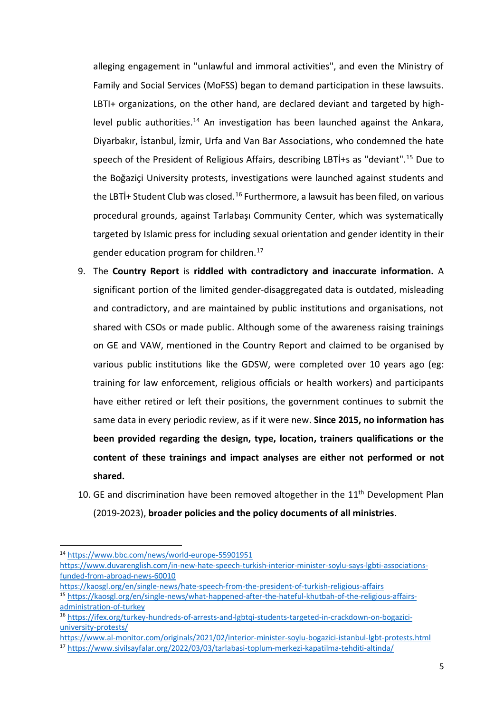alleging engagement in "unlawful and immoral activities", and even the Ministry of Family and Social Services (MoFSS) began to demand participation in these lawsuits. LBTI+ organizations, on the other hand, are declared deviant and targeted by highlevel public authorities.<sup>14</sup> An investigation has been launched against the Ankara, Diyarbakır, İstanbul, İzmir, Urfa and Van Bar Associations, who condemned the hate speech of the President of Religious Affairs, describing LBTİ+s as "deviant".<sup>15</sup> Due to the Boğaziçi University protests, investigations were launched against students and the LBTİ+ Student Club was closed.<sup>16</sup> Furthermore, a lawsuit has been filed, on various procedural grounds, against Tarlabaşı Community Center, which was systematically targeted by Islamic press for including sexual orientation and gender identity in their gender education program for children.<sup>17</sup>

- 9. The **Country Report** is **riddled with contradictory and inaccurate information.** A significant portion of the limited gender-disaggregated data is outdated, misleading and contradictory, and are maintained by public institutions and organisations, not shared with CSOs or made public. Although some of the awareness raising trainings on GE and VAW, mentioned in the Country Report and claimed to be organised by various public institutions like the GDSW, were completed over 10 years ago (eg: training for law enforcement, religious officials or health workers) and participants have either retired or left their positions, the government continues to submit the same data in every periodic review, as if it were new. **Since 2015, no information has been provided regarding the design, type, location, trainers qualifications or the content of these trainings and impact analyses are either not performed or not shared.**
- 10. GE and discrimination have been removed altogether in the 11<sup>th</sup> Development Plan (2019-2023), **broader policies and the policy documents of all ministries**.

-

<sup>14</sup> <https://www.bbc.com/news/world-europe-55901951>

[https://www.duvarenglish.com/in-new-hate-speech-turkish-interior-minister-soylu-says-lgbti-associations](https://www.duvarenglish.com/in-new-hate-speech-turkish-interior-minister-soylu-says-lgbti-associations-funded-from-abroad-news-60010)[funded-from-abroad-news-60010](https://www.duvarenglish.com/in-new-hate-speech-turkish-interior-minister-soylu-says-lgbti-associations-funded-from-abroad-news-60010)

<https://kaosgl.org/en/single-news/hate-speech-from-the-president-of-turkish-religious-affairs>

<sup>15</sup> [https://kaosgl.org/en/single-news/what-happened-after-the-hateful-khutbah-of-the-religious-affairs](https://kaosgl.org/en/single-news/what-happened-after-the-hateful-khutbah-of-the-religious-affairs-administration-of-turkey)[administration-of-turkey](https://kaosgl.org/en/single-news/what-happened-after-the-hateful-khutbah-of-the-religious-affairs-administration-of-turkey)

<sup>16</sup> [https://ifex.org/turkey-hundreds-of-arrests-and-lgbtqi-students-targeted-in-crackdown-on-bogazici](https://ifex.org/turkey-hundreds-of-arrests-and-lgbtqi-students-targeted-in-crackdown-on-bogazici-%20university-protests/)[university-protests/](https://ifex.org/turkey-hundreds-of-arrests-and-lgbtqi-students-targeted-in-crackdown-on-bogazici-%20university-protests/)

<https://www.al-monitor.com/originals/2021/02/interior-minister-soylu-bogazici-istanbul-lgbt-protests.html>

<sup>17</sup> <https://www.sivilsayfalar.org/2022/03/03/tarlabasi-toplum-merkezi-kapatilma-tehditi-altinda/>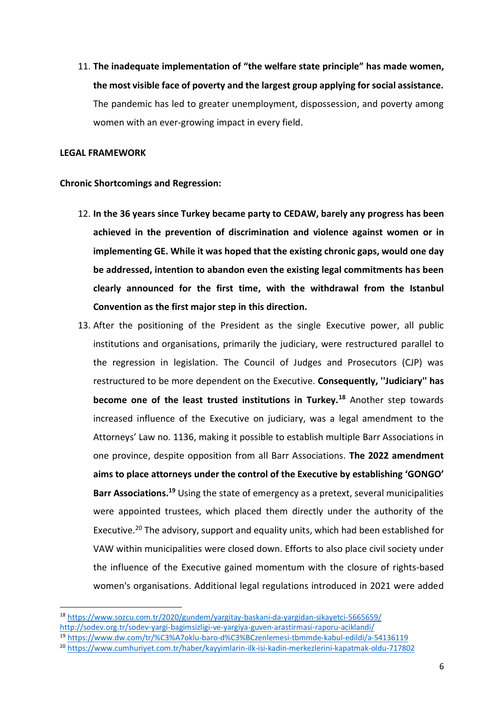11. **The inadequate implementation of "the welfare state principle" has made women, the most visible face of poverty and the largest group applying for social assistance.**  The pandemic has led to greater unemployment, dispossession, and poverty among women with an ever-growing impact in every field.

#### **LEGAL FRAMEWORK**

**.** 

### **Chronic Shortcomings and Regression:**

- 12. **In the 36 years since Turkey became party to CEDAW, barely any progress has been achieved in the prevention of discrimination and violence against women or in implementing GE. While it was hoped that the existing chronic gaps, would one day be addressed, intention to abandon even the existing legal commitments has been clearly announced for the first time, with the withdrawal from the Istanbul Convention as the first major step in this direction.**
- 13. After the positioning of the President as the single Executive power, all public institutions and organisations, primarily the judiciary, were restructured parallel to the regression in legislation. The Council of Judges and Prosecutors (CJP) was restructured to be more dependent on the Executive. **Consequently, ''Judiciary'' has become one of the least trusted institutions in Turkey.<sup>18</sup>** Another step towards increased influence of the Executive on judiciary, was a legal amendment to the Attorneys' Law no. 1136, making it possible to establish multiple Barr Associations in one province, despite opposition from all Barr Associations. **The 2022 amendment aims to place attorneys under the control of the Executive by establishing 'GONGO'**  Barr Associations.<sup>19</sup> Using the state of emergency as a pretext, several municipalities were appointed trustees, which placed them directly under the authority of the Executive.<sup>20</sup> The advisory, support and equality units, which had been established for VAW within municipalities were closed down. Efforts to also place civil society under the influence of the Executive gained momentum with the closure of rights-based women's organisations. Additional legal regulations introduced in 2021 were added

<sup>18</sup> <https://www.sozcu.com.tr/2020/gundem/yargitay-baskani-da-yargidan-sikayetci-5665659/> <http://sodev.org.tr/sodev-yargi-bagimsizligi-ve-yargiya-guven-arastirmasi-raporu-aciklandi/>

<sup>19</sup> <https://www.dw.com/tr/%C3%A7oklu-baro-d%C3%BCzenlemesi-tbmmde-kabul-edildi/a-54136119>

<sup>20</sup> <https://www.cumhuriyet.com.tr/haber/kayyimlarin-ilk-isi-kadin-merkezlerini-kapatmak-oldu-717802>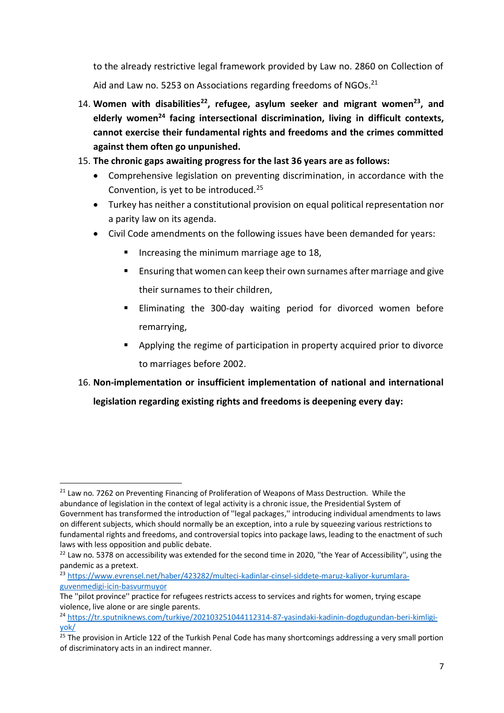to the already restrictive legal framework provided by Law no. 2860 on Collection of Aid and Law no. 5253 on Associations regarding freedoms of NGOs.<sup>21</sup>

14. **Women with disabilities<sup>22</sup>, refugee, asylum seeker and migrant women<sup>23</sup>, and elderly women<sup>24</sup> facing intersectional discrimination, living in difficult contexts, cannot exercise their fundamental rights and freedoms and the crimes committed against them often go unpunished.**

# 15. **The chronic gaps awaiting progress for the last 36 years are as follows:**

- Comprehensive legislation on preventing discrimination, in accordance with the Convention, is yet to be introduced.<sup>25</sup>
- Turkey has neither a constitutional provision on equal political representation nor a parity law on its agenda.
- Civil Code amendments on the following issues have been demanded for years:
	- Increasing the minimum marriage age to  $18$ ,
	- Ensuring that women can keep their own surnames after marriage and give their surnames to their children,
	- Eliminating the 300-day waiting period for divorced women before remarrying,
	- **Applying the regime of participation in property acquired prior to divorce** to marriages before 2002.
- 16. **Non-implementation or insufficient implementation of national and international legislation regarding existing rights and freedoms is deepening every day:**

<sup>1</sup>  $21$  Law no. 7262 on Preventing Financing of Proliferation of Weapons of Mass Destruction. While the abundance of legislation in the context of legal activity is a chronic issue, the Presidential System of Government has transformed the introduction of ''legal packages,'' introducing individual amendments to laws on different subjects, which should normally be an exception, into a rule by squeezing various restrictions to fundamental rights and freedoms, and controversial topics into package laws, leading to the enactment of such laws with less opposition and public debate.

<sup>&</sup>lt;sup>22</sup> Law no. 5378 on accessibility was extended for the second time in 2020, "the Year of Accessibility", using the pandemic as a pretext.

<sup>23</sup> [https://www.evrensel.net/haber/423282/multeci-kadinlar-cinsel-siddete-maruz-kaliyor-kurumlara](https://www.evrensel.net/haber/423282/multeci-kadinlar-cinsel-siddete-maruz-kaliyor-kurumlara-guvenmedigi-icin-basvurmuyor)[guvenmedigi-icin-basvurmuyor](https://www.evrensel.net/haber/423282/multeci-kadinlar-cinsel-siddete-maruz-kaliyor-kurumlara-guvenmedigi-icin-basvurmuyor)

The ''pilot province'' practice for refugees restricts access to services and rights for women, trying escape violence, live alone or are single parents.

<sup>24</sup> [https://tr.sputniknews.com/turkiye/202103251044112314-87-yasindaki-kadinin-dogdugundan-beri-kimligi](https://tr.sputniknews.com/turkiye/202103251044112314-87-yasindaki-kadinin-dogdugundan-beri-kimligi-yok/)[yok/](https://tr.sputniknews.com/turkiye/202103251044112314-87-yasindaki-kadinin-dogdugundan-beri-kimligi-yok/)

 $25$  The provision in Article 122 of the Turkish Penal Code has many shortcomings addressing a very small portion of discriminatory acts in an indirect manner.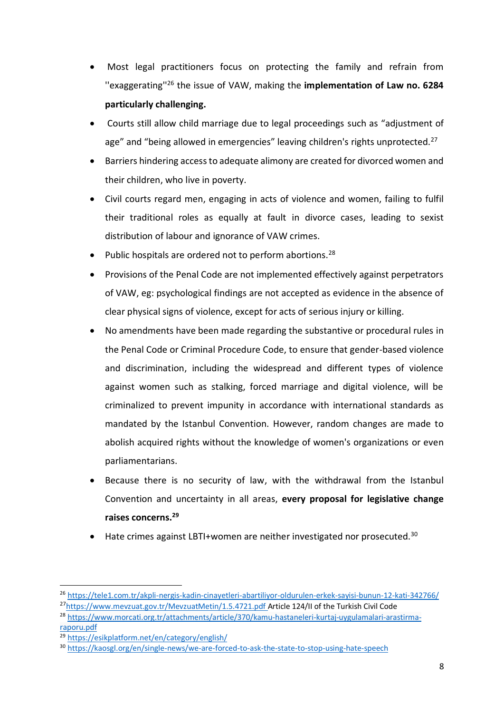- Most legal practitioners focus on protecting the family and refrain from ''exaggerating''<sup>26</sup> the issue of VAW, making the **implementation of Law no. 6284 particularly challenging.**
- Courts still allow child marriage due to legal proceedings such as "adjustment of age" and "being allowed in emergencies" leaving children's rights unprotected.<sup>27</sup>
- Barriers hindering accessto adequate alimony are created for divorced women and their children, who live in poverty.
- Civil courts regard men, engaging in acts of violence and women, failing to fulfil their traditional roles as equally at fault in divorce cases, leading to sexist distribution of labour and ignorance of VAW crimes.
- Public hospitals are ordered not to perform abortions.<sup>28</sup>
- Provisions of the Penal Code are not implemented effectively against perpetrators of VAW, eg: psychological findings are not accepted as evidence in the absence of clear physical signs of violence, except for acts of serious injury or killing.
- No amendments have been made regarding the substantive or procedural rules in the Penal Code or Criminal Procedure Code, to ensure that gender-based violence and discrimination, including the widespread and different types of violence against women such as stalking, forced marriage and digital violence, will be criminalized to prevent impunity in accordance with international standards as mandated by the Istanbul Convention. However, random changes are made to abolish acquired rights without the knowledge of women's organizations or even parliamentarians.
- Because there is no security of law, with the withdrawal from the Istanbul Convention and uncertainty in all areas, **every proposal for legislative change raises concerns.<sup>29</sup>**
- $\bullet$  Hate crimes against LBTI+women are neither investigated nor prosecuted.<sup>30</sup>

[raporu.pdf](https://www.morcati.org.tr/attachments/article/370/kamu-hastaneleri-kurtaj-uygulamalari-arastirma-raporu.pdf)

<sup>26</sup> <https://tele1.com.tr/akpli-nergis-kadin-cinayetleri-abartiliyor-oldurulen-erkek-sayisi-bunun-12-kati-342766/>

<sup>27</sup><https://www.mevzuat.gov.tr/MevzuatMetin/1.5.4721.pdf> Article 124/II of the Turkish Civil Code

<sup>28</sup> [https://www.morcati.org.tr/attachments/article/370/kamu-hastaneleri-kurtaj-uygulamalari-arastirma-](https://www.morcati.org.tr/attachments/article/370/kamu-hastaneleri-kurtaj-uygulamalari-arastirma-raporu.pdf)

<sup>29</sup> <https://esikplatform.net/en/category/english/>

<sup>&</sup>lt;sup>30</sup> <https://kaosgl.org/en/single-news/we-are-forced-to-ask-the-state-to-stop-using-hate-speech>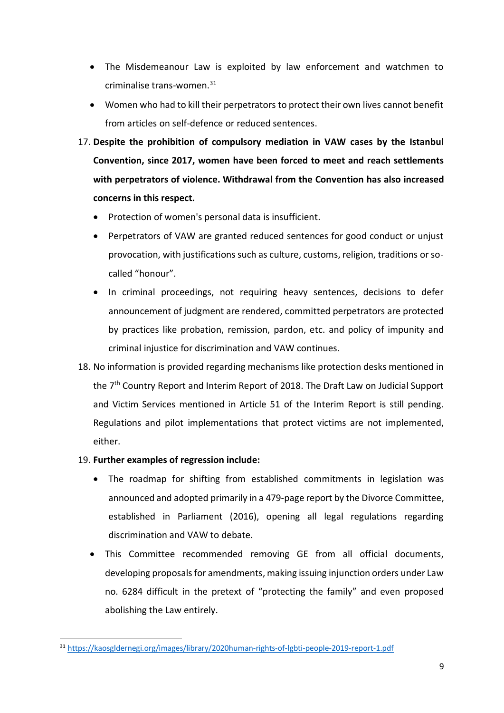- The Misdemeanour Law is exploited by law enforcement and watchmen to criminalise trans-women.<sup>31</sup>
- Women who had to kill their perpetrators to protect their own lives cannot benefit from articles on self-defence or reduced sentences.
- 17. **Despite the prohibition of compulsory mediation in VAW cases by the Istanbul Convention, since 2017, women have been forced to meet and reach settlements with perpetrators of violence. Withdrawal from the Convention has also increased concerns in this respect.** 
	- Protection of women's personal data is insufficient.
	- Perpetrators of VAW are granted reduced sentences for good conduct or unjust provocation, with justifications such as culture, customs, religion, traditions or socalled "honour".
	- In criminal proceedings, not requiring heavy sentences, decisions to defer announcement of judgment are rendered, committed perpetrators are protected by practices like probation, remission, pardon, etc. and policy of impunity and criminal injustice for discrimination and VAW continues.
- 18. No information is provided regarding mechanisms like protection desks mentioned in the 7<sup>th</sup> Country Report and Interim Report of 2018. The Draft Law on Judicial Support and Victim Services mentioned in Article 51 of the Interim Report is still pending. Regulations and pilot implementations that protect victims are not implemented, either.
- 19. **Further examples of regression include:**
	- The roadmap for shifting from established commitments in legislation was announced and adopted primarily in a 479-page report by the Divorce Committee, established in Parliament (2016), opening all legal regulations regarding discrimination and VAW to debate.
	- This Committee recommended removing GE from all official documents, developing proposals for amendments, making issuing injunction orders under Law no. 6284 difficult in the pretext of "protecting the family" and even proposed abolishing the Law entirely.

**<sup>.</sup>** <sup>31</sup> [https://kaosgldernegi.org/images/library/2020human-rights-of-lgbti-people-2019-report-1.pdf](about:blank)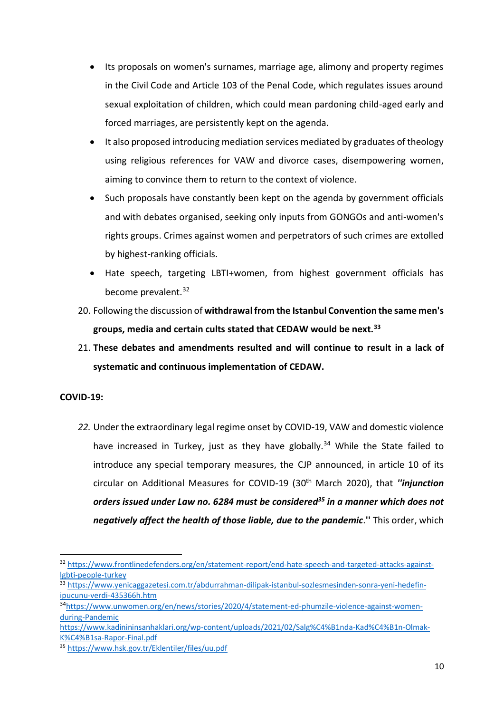- Its proposals on women's surnames, marriage age, alimony and property regimes in the Civil Code and Article 103 of the Penal Code, which regulates issues around sexual exploitation of children, which could mean pardoning child-aged early and forced marriages, are persistently kept on the agenda.
- It also proposed introducing mediation services mediated by graduates of theology using religious references for VAW and divorce cases, disempowering women, aiming to convince them to return to the context of violence.
- Such proposals have constantly been kept on the agenda by government officials and with debates organised, seeking only inputs from GONGOs and anti-women's rights groups. Crimes against women and perpetrators of such crimes are extolled by highest-ranking officials.
- Hate speech, targeting LBTI+women, from highest government officials has become prevalent.<sup>32</sup>
- 20. Following the discussion of **withdrawalfrom the Istanbul Convention the same men's groups, media and certain cults stated that CEDAW would be next.<sup>33</sup>**
- 21. **These debates and amendments resulted and will continue to result in a lack of systematic and continuous implementation of CEDAW.**

# **COVID-19:**

**.** 

*22.* Under the extraordinary legal regime onset by COVID-19, VAW and domestic violence have increased in Turkey, just as they have globally.<sup>34</sup> While the State failed to introduce any special temporary measures, the CJP announced, in article 10 of its circular on Additional Measures for COVID-19 (30th March 2020), that *''injunction orders issued under Law no. 6284 must be considered<sup>35</sup> in a manner which does not negatively affect the health of those liable, due to the pandemic*.**''** This order, which

<sup>32</sup> [https://www.frontlinedefenders.org/en/statement-report/end-hate-speech-and-targeted-attacks-against](https://www.frontlinedefenders.org/en/statement-report/end-hate-speech-and-targeted-attacks-against-lgbti-people-turkey)[lgbti-people-turkey](https://www.frontlinedefenders.org/en/statement-report/end-hate-speech-and-targeted-attacks-against-lgbti-people-turkey)

<sup>33</sup> [https://www.yenicaggazetesi.com.tr/abdurrahman-dilipak-istanbul-sozlesmesinden-sonra-yeni-hedefin](https://www.yenicaggazetesi.com.tr/abdurrahman-dilipak-istanbul-sozlesmesinden-sonra-yeni-hedefin-ipucunu-verdi-435366h.htm)[ipucunu-verdi-435366h.htm](https://www.yenicaggazetesi.com.tr/abdurrahman-dilipak-istanbul-sozlesmesinden-sonra-yeni-hedefin-ipucunu-verdi-435366h.htm)

<sup>34</sup>[https://www.unwomen.org/en/news/stories/2020/4/statement-ed-phumzile-violence-against-women](https://www.unwomen.org/en/news/stories/2020/4/statement-ed-phumzile-violence-against-women-during-Pandemic)[during-Pandemic](https://www.unwomen.org/en/news/stories/2020/4/statement-ed-phumzile-violence-against-women-during-Pandemic) 

[https://www.kadinininsanhaklari.org/wp-content/uploads/2021/02/Salg%C4%B1nda-Kad%C4%B1n-Olmak-](https://www.kadinininsanhaklari.org/wp-content/uploads/2021/02/Salg%C4%B1nda-Kad%C4%B1n-Olmak-K%C4%B1sa-Rapor-Final.pdf)[K%C4%B1sa-Rapor-Final.pdf](https://www.kadinininsanhaklari.org/wp-content/uploads/2021/02/Salg%C4%B1nda-Kad%C4%B1n-Olmak-K%C4%B1sa-Rapor-Final.pdf)

<sup>35</sup> <https://www.hsk.gov.tr/Eklentiler/files/uu.pdf>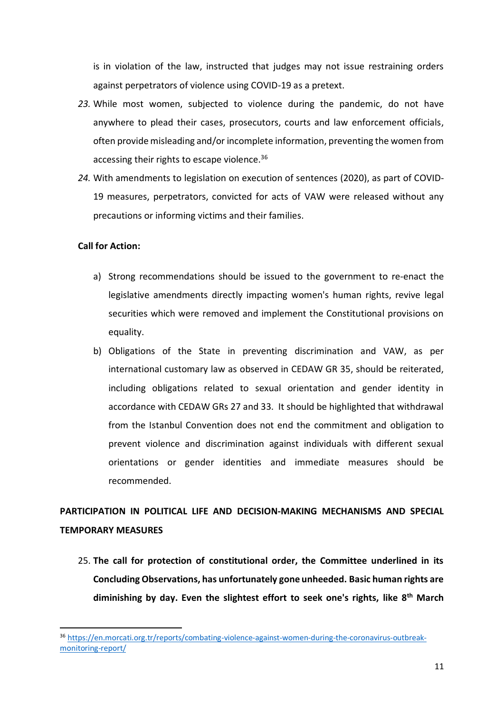is in violation of the law, instructed that judges may not issue restraining orders against perpetrators of violence using COVID-19 as a pretext.

- *23.* While most women, subjected to violence during the pandemic, do not have anywhere to plead their cases, prosecutors, courts and law enforcement officials, often provide misleading and/or incomplete information, preventing the women from accessing their rights to escape violence.<sup>36</sup>
- *24.* With amendments to legislation on execution of sentences (2020), as part of COVID-19 measures, perpetrators, convicted for acts of VAW were released without any precautions or informing victims and their families.

### **Call for Action:**

1

- a) Strong recommendations should be issued to the government to re-enact the legislative amendments directly impacting women's human rights, revive legal securities which were removed and implement the Constitutional provisions on equality.
- b) Obligations of the State in preventing discrimination and VAW, as per international customary law as observed in CEDAW GR 35, should be reiterated, including obligations related to sexual orientation and gender identity in accordance with CEDAW GRs 27 and 33. It should be highlighted that withdrawal from the Istanbul Convention does not end the commitment and obligation to prevent violence and discrimination against individuals with different sexual orientations or gender identities and immediate measures should be recommended.

# **PARTICIPATION IN POLITICAL LIFE AND DECISION-MAKING MECHANISMS AND SPECIAL TEMPORARY MEASURES**

25. **The call for protection of constitutional order, the Committee underlined in its Concluding Observations, has unfortunately gone unheeded. Basic human rights are diminishing by day. Even the slightest effort to seek one's rights, like 8 th March**

<sup>36</sup> [https://en.morcati.org.tr/reports/combating-violence-against-women-during-the-coronavirus-outbreak](https://en.morcati.org.tr/reports/combating-violence-against-women-during-the-coronavirus-outbreak-monitoring-report/)[monitoring-report/](https://en.morcati.org.tr/reports/combating-violence-against-women-during-the-coronavirus-outbreak-monitoring-report/)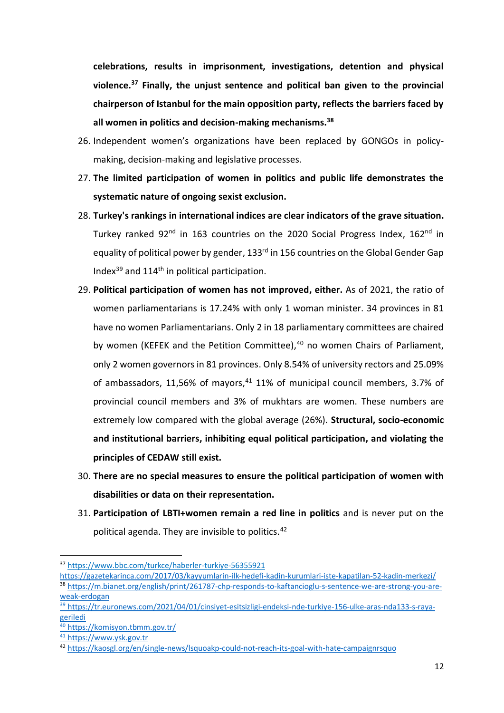**celebrations, results in imprisonment, investigations, detention and physical violence.<sup>37</sup> Finally, the unjust sentence and political ban given to the provincial chairperson of Istanbul for the main opposition party, reflects the barriers faced by all women in politics and decision-making mechanisms.<sup>38</sup>**

- 26. Independent women's organizations have been replaced by GONGOs in policymaking, decision-making and legislative processes.
- 27. **The limited participation of women in politics and public life demonstrates the systematic nature of ongoing sexist exclusion.**
- 28. **Turkey's rankings in international indices are clear indicators of the grave situation.**  Turkey ranked 92<sup>nd</sup> in 163 countries on the 2020 Social Progress Index, 162<sup>nd</sup> in equality of political power by gender, 133<sup>rd</sup> in 156 countries on the Global Gender Gap Index $^{39}$  and 114<sup>th</sup> in political participation.
- 29. **Political participation of women has not improved, either.** As of 2021, the ratio of women parliamentarians is 17.24% with only 1 woman minister. 34 provinces in 81 have no women Parliamentarians. Only 2 in 18 parliamentary committees are chaired by women (KEFEK and the Petition Committee),<sup>40</sup> no women Chairs of Parliament, only 2 women governors in 81 provinces. Only 8.54% of university rectors and 25.09% of ambassadors, 11,56% of mayors, $41$  11% of municipal council members, 3.7% of provincial council members and 3% of mukhtars are women. These numbers are extremely low compared with the global average (26%). **Structural, socio-economic and institutional barriers, inhibiting equal political participation, and violating the principles of CEDAW still exist.**
- 30. **There are no special measures to ensure the political participation of women with disabilities or data on their representation.**
- 31. **Participation of LBTI+women remain a red line in politics** and is never put on the political agenda. They are invisible to politics.<sup>42</sup>

<sup>37</sup> <https://www.bbc.com/turkce/haberler-turkiye-56355921>

<https://gazetekarinca.com/2017/03/kayyumlarin-ilk-hedefi-kadin-kurumlari-iste-kapatilan-52-kadin-merkezi/> 38 [https://m.bianet.org/english/print/261787-chp-responds-to-kaftancioglu-s-sentence-we-are-strong-you-are](https://m.bianet.org/english/print/261787-chp-responds-to-kaftancioglu-s-sentence-we-are-strong-you-are-weak-erdogan)[weak-erdogan](https://m.bianet.org/english/print/261787-chp-responds-to-kaftancioglu-s-sentence-we-are-strong-you-are-weak-erdogan)

<sup>&</sup>lt;sup>39</sup> [https://tr.euronews.com/2021/04/01/cinsiyet-esitsizligi-endeksi-nde-turkiye-156-ulke-aras-nda133-s-raya](https://tr.euronews.com/2021/04/01/cinsiyet-esitsizligi-endeksi-nde-turkiye-156-ulke-aras-nda133-s-raya-geriledi)[geriledi](https://tr.euronews.com/2021/04/01/cinsiyet-esitsizligi-endeksi-nde-turkiye-156-ulke-aras-nda133-s-raya-geriledi)

<sup>40</sup> <https://komisyon.tbmm.gov.tr/>

<sup>41</sup> [https://www.ysk.gov.tr](https://www.ysk.gov.tr/)

<sup>42</sup> <https://kaosgl.org/en/single-news/lsquoakp-could-not-reach-its-goal-with-hate-campaignrsquo>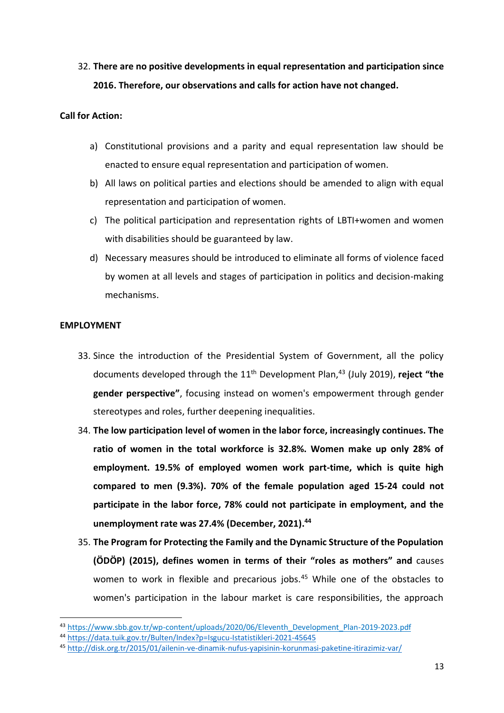32. **There are no positive developments in equal representation and participation since 2016. Therefore, our observations and calls for action have not changed.** 

# **Call for Action:**

- a) Constitutional provisions and a parity and equal representation law should be enacted to ensure equal representation and participation of women.
- b) All laws on political parties and elections should be amended to align with equal representation and participation of women.
- c) The political participation and representation rights of LBTI+women and women with disabilities should be guaranteed by law.
- d) Necessary measures should be introduced to eliminate all forms of violence faced by women at all levels and stages of participation in politics and decision-making mechanisms.

# **EMPLOYMENT**

-

- 33. Since the introduction of the Presidential System of Government, all the policy documents developed through the 11th Development Plan, <sup>43</sup> (July 2019), **reject "the gender perspective"**, focusing instead on women's empowerment through gender stereotypes and roles, further deepening inequalities.
- 34. **The low participation level of women in the labor force, increasingly continues. The ratio of women in the total workforce is 32.8%. Women make up only 28% of employment. 19.5% of employed women work part-time, which is quite high compared to men (9.3%). 70% of the female population aged 15-24 could not participate in the labor force, 78% could not participate in employment, and the unemployment rate was 27.4% (December, 2021). 44**
- 35. **The Program for Protecting the Family and the Dynamic Structure of the Population (ÖDÖP) (2015), defines women in terms of their "roles as mothers" and** causes women to work in flexible and precarious jobs.<sup>45</sup> While one of the obstacles to women's participation in the labour market is care responsibilities, the approach

<sup>43</sup> [https://www.sbb.gov.tr/wp-content/uploads/2020/06/Eleventh\\_Development\\_Plan-2019-2023.pdf](https://www.sbb.gov.tr/wp-content/uploads/2020/06/Eleventh_Development_Plan-2019-2023.pdf)

<sup>44</sup> <https://data.tuik.gov.tr/Bulten/Index?p=Isgucu-Istatistikleri-2021-45645>

<sup>45</sup> <http://disk.org.tr/2015/01/ailenin-ve-dinamik-nufus-yapisinin-korunmasi-paketine-itirazimiz-var/>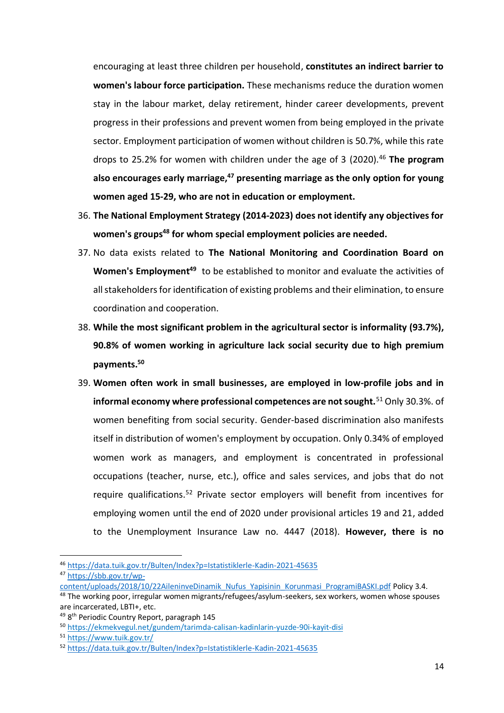encouraging at least three children per household, **constitutes an indirect barrier to women's labour force participation.** These mechanisms reduce the duration women stay in the labour market, delay retirement, hinder career developments, prevent progress in their professions and prevent women from being employed in the private sector. Employment participation of women without children is 50.7%, while this rate drops to 25.2% for women with children under the age of 3 (2020). <sup>46</sup> **The program also encourages early marriage,<sup>47</sup> presenting marriage as the only option for young women aged 15-29, who are not in education or employment.**

- 36. **The National Employment Strategy (2014-2023) does not identify any objectives for women's groups<sup>48</sup> for whom special employment policies are needed.**
- 37. No data exists related to **The National Monitoring and Coordination Board on Women's Employment<sup>49</sup>** to be established to monitor and evaluate the activities of all stakeholders for identification of existing problems and their elimination, to ensure coordination and cooperation.
- 38. **While the most significant problem in the agricultural sector is informality (93.7%), 90.8% of women working in agriculture lack social security due to high premium payments.<sup>50</sup>**
- 39. **Women often work in small businesses, are employed in low-profile jobs and in informal economy where professional competences are not sought.**<sup>51</sup> Only 30.3%. of women benefiting from social security. Gender-based discrimination also manifests itself in distribution of women's employment by occupation. Only 0.34% of employed women work as managers, and employment is concentrated in professional occupations (teacher, nurse, etc.), office and sales services, and jobs that do not require qualifications.<sup>52</sup> Private sector employers will benefit from incentives for employing women until the end of 2020 under provisional articles 19 and 21, added to the Unemployment Insurance Law no. 4447 (2018). **However, there is no**

<sup>1</sup> <sup>46</sup> <https://data.tuik.gov.tr/Bulten/Index?p=Istatistiklerle-Kadin-2021-45635> <sup>47</sup> [https://sbb.gov.tr/wp-](https://sbb.gov.tr/wp-content/uploads/2018/10/22AileninveDinamik_Nufus_Yapisinin_Korunmasi_ProgramiBASKI.pdf)

[content/uploads/2018/10/22AileninveDinamik\\_Nufus\\_Yapisinin\\_Korunmasi\\_ProgramiBASKI.pdf](https://sbb.gov.tr/wp-content/uploads/2018/10/22AileninveDinamik_Nufus_Yapisinin_Korunmasi_ProgramiBASKI.pdf) Policy 3.4.

<sup>&</sup>lt;sup>48</sup> The working poor, irregular women migrants/refugees/asylum-seekers, sex workers, women whose spouses are incarcerated, LBTI+, etc.

<sup>&</sup>lt;sup>49</sup> 8<sup>th</sup> Periodic Country Report, paragraph 145

<sup>50</sup> <https://ekmekvegul.net/gundem/tarimda-calisan-kadinlarin-yuzde-90i-kayit-disi>

<sup>51</sup> <https://www.tuik.gov.tr/>

<sup>52</sup> <https://data.tuik.gov.tr/Bulten/Index?p=Istatistiklerle-Kadin-2021-45635>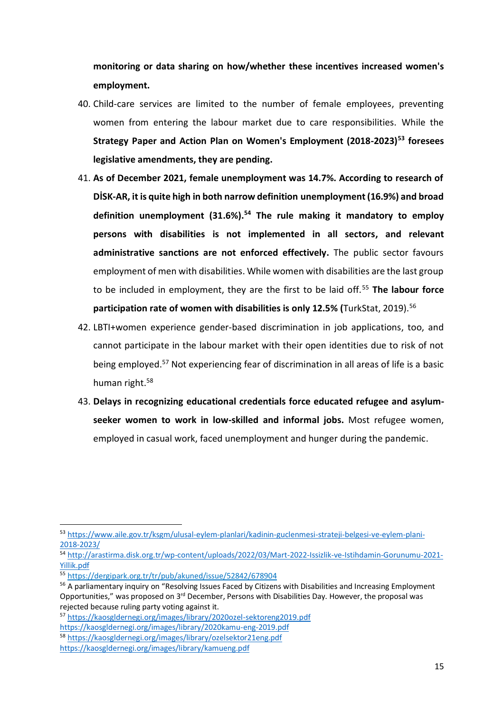**monitoring or data sharing on how/whether these incentives increased women's employment.**

- 40. Child-care services are limited to the number of female employees, preventing women from entering the labour market due to care responsibilities. While the **Strategy Paper and Action Plan on Women's Employment (2018-2023)<sup>53</sup> foresees legislative amendments, they are pending.**
- 41. **As of December 2021, female unemployment was 14.7%. According to research of DİSK-AR, it is quite high in both narrow definition unemployment (16.9%) and broad definition unemployment (31.6%).<sup>54</sup> The rule making it mandatory to employ persons with disabilities is not implemented in all sectors, and relevant administrative sanctions are not enforced effectively.** The public sector favours employment of men with disabilities. While women with disabilities are the last group to be included in employment, they are the first to be laid off.<sup>55</sup> **The labour force participation rate of women with disabilities is only 12.5% (**TurkStat, 2019). 56
- 42. LBTI+women experience gender-based discrimination in job applications, too, and cannot participate in the labour market with their open identities due to risk of not being employed. <sup>57</sup> Not experiencing fear of discrimination in all areas of life is a basic human right.<sup>58</sup>
- 43. **Delays in recognizing educational credentials force educated refugee and asylumseeker women to work in low-skilled and informal jobs.** Most refugee women, employed in casual work, faced unemployment and hunger during the pandemic.

1

<https://kaosgldernegi.org/images/library/2020kamu-eng-2019.pdf>

<sup>53</sup> [https://www.aile.gov.tr/ksgm/ulusal-eylem-planlari/kadinin-guclenmesi-strateji-belgesi-ve-eylem-plani-](https://www.aile.gov.tr/ksgm/ulusal-eylem-planlari/kadinin-guclenmesi-strateji-belgesi-ve-eylem-plani-2018-2023/)[2018-2023/](https://www.aile.gov.tr/ksgm/ulusal-eylem-planlari/kadinin-guclenmesi-strateji-belgesi-ve-eylem-plani-2018-2023/)

<sup>54</sup> [http://arastirma.disk.org.tr/wp-content/uploads/2022/03/Mart-2022-Issizlik-ve-Istihdamin-Gorunumu-2021-](http://arastirma.disk.org.tr/wp-content/uploads/2022/03/Mart-2022-Issizlik-ve-Istihdamin-Gorunumu-2021-Yillik.pdf) [Yillik.pdf](http://arastirma.disk.org.tr/wp-content/uploads/2022/03/Mart-2022-Issizlik-ve-Istihdamin-Gorunumu-2021-Yillik.pdf)

<sup>55</sup> <https://dergipark.org.tr/tr/pub/akuned/issue/52842/678904>

<sup>56</sup> A parliamentary inquiry on "Resolving Issues Faced by Citizens with Disabilities and Increasing Employment Opportunities," was proposed on 3<sup>rd</sup> December, Persons with Disabilities Day. However, the proposal was rejected because ruling party voting against it.

<sup>57</sup> <https://kaosgldernegi.org/images/library/2020ozel-sektoreng2019.pdf>

<sup>58</sup> <https://kaosgldernegi.org/images/library/ozelsektor21eng.pdf>

<https://kaosgldernegi.org/images/library/kamueng.pdf>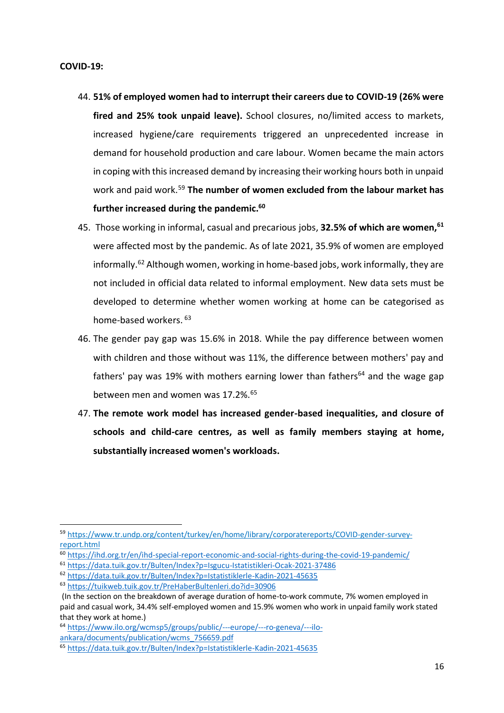#### **COVID-19:**

- 44. **51% of employed women had to interrupt their careers due to COVID-19 (26% were fired and 25% took unpaid leave).** School closures, no/limited access to markets, increased hygiene/care requirements triggered an unprecedented increase in demand for household production and care labour. Women became the main actors in coping with this increased demand by increasing their working hours both in unpaid work and paid work.<sup>59</sup> **The number of women excluded from the labour market has further increased during the pandemic.<sup>60</sup>**
- 45. Those working in informal, casual and precarious jobs, **32.5% of which are women,<sup>61</sup>** were affected most by the pandemic. As of late 2021, 35.9% of women are employed informally.<sup>62</sup> Although women, working in home-based jobs, work informally, they are not included in official data related to informal employment. New data sets must be developed to determine whether women working at home can be categorised as home-based workers. <sup>63</sup>
- 46. The gender pay gap was 15.6% in 2018. While the pay difference between women with children and those without was 11%, the difference between mothers' pay and fathers' pay was 19% with mothers earning lower than fathers<sup>64</sup> and the wage gap between men and women was 17.2%.<sup>65</sup>
- 47. **The remote work model has increased gender-based inequalities, and closure of schools and child-care centres, as well as family members staying at home, substantially increased women's workloads.**

<sup>59</sup> [https://www.tr.undp.org/content/turkey/en/home/library/corporatereports/COVID-gender-survey](https://www.tr.undp.org/content/turkey/en/home/library/corporatereports/COVID-gender-survey-report.html)[report.html](https://www.tr.undp.org/content/turkey/en/home/library/corporatereports/COVID-gender-survey-report.html)

<sup>60</sup> <https://ihd.org.tr/en/ihd-special-report-economic-and-social-rights-during-the-covid-19-pandemic/>

<sup>61</sup> <https://data.tuik.gov.tr/Bulten/Index?p=Isgucu-Istatistikleri-Ocak-2021-37486>

<sup>62</sup> <https://data.tuik.gov.tr/Bulten/Index?p=Istatistiklerle-Kadin-2021-45635>

<sup>63</sup> <https://tuikweb.tuik.gov.tr/PreHaberBultenleri.do?id=30906>

<sup>(</sup>In the section on the breakdown of average duration of home-to-work commute, 7% women employed in paid and casual work, 34.4% self-employed women and 15.9% women who work in unpaid family work stated that they work at home.)

<sup>64</sup> [https://www.ilo.org/wcmsp5/groups/public/---europe/---ro-geneva/---ilo](https://www.ilo.org/wcmsp5/groups/public/---europe/---ro-geneva/---ilo-ankara/documents/publication/wcms_756659.pdf)[ankara/documents/publication/wcms\\_756659.pdf](https://www.ilo.org/wcmsp5/groups/public/---europe/---ro-geneva/---ilo-ankara/documents/publication/wcms_756659.pdf)

<sup>65</sup> <https://data.tuik.gov.tr/Bulten/Index?p=Istatistiklerle-Kadin-2021-45635>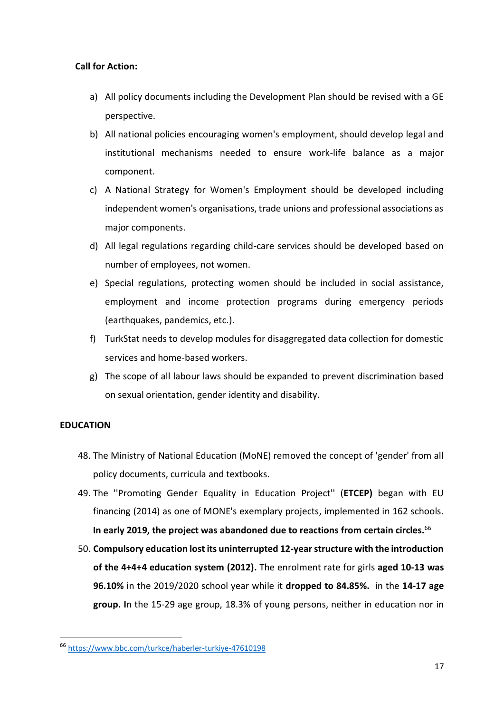# **Call for Action:**

- a) All policy documents including the Development Plan should be revised with a GE perspective.
- b) All national policies encouraging women's employment, should develop legal and institutional mechanisms needed to ensure work-life balance as a major component.
- c) A National Strategy for Women's Employment should be developed including independent women's organisations, trade unions and professional associations as major components.
- d) All legal regulations regarding child-care services should be developed based on number of employees, not women.
- e) Special regulations, protecting women should be included in social assistance, employment and income protection programs during emergency periods (earthquakes, pandemics, etc.).
- f) TurkStat needs to develop modules for disaggregated data collection for domestic services and home-based workers.
- g) The scope of all labour laws should be expanded to prevent discrimination based on sexual orientation, gender identity and disability.

# **EDUCATION**

-

- 48. The Ministry of National Education (MoNE) removed the concept of 'gender' from all policy documents, curricula and textbooks.
- 49. The ''Promoting Gender Equality in Education Project'' (**ETCEP)** began with EU financing (2014) as one of MONE's exemplary projects, implemented in 162 schools. **In early 2019, the project was abandoned due to reactions from certain circles.**<sup>66</sup>
- 50. **Compulsory education lost its uninterrupted 12-year structure with the introduction of the 4+4+4 education system (2012).** The enrolment rate for girls **aged 10-13 was 96.10%** in the 2019/2020 school year while it **dropped to 84.85%.** in the **14-17 age group. I**n the 15-29 age group, 18.3% of young persons, neither in education nor in

<sup>66</sup> <https://www.bbc.com/turkce/haberler-turkiye-47610198>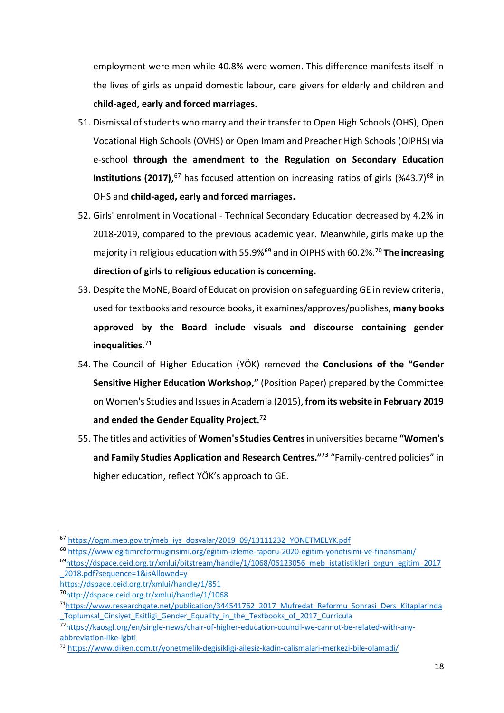employment were men while 40.8% were women. This difference manifests itself in the lives of girls as unpaid domestic labour, care givers for elderly and children and **child-aged, early and forced marriages.**

- 51. Dismissal of students who marry and their transfer to Open High Schools (OHS), Open Vocational High Schools (OVHS) or Open Imam and Preacher High Schools (OIPHS) via e-school **through the amendment to the Regulation on Secondary Education Institutions (2017),**<sup>67</sup> has focused attention on increasing ratios of girls (%43.7)<sup>68</sup> in OHS and **child-aged, early and forced marriages.**
- 52. Girls' enrolment in Vocational Technical Secondary Education decreased by 4.2% in 2018-2019, compared to the previous academic year. Meanwhile, girls make up the majority in religious education with 55.9%<sup>69</sup> and in OIPHS with 60.2%.<sup>70</sup> **The increasing direction of girls to religious education is concerning.**
- 53. Despite the MoNE, Board of Education provision on safeguarding GE in review criteria, used for textbooks and resource books, it examines/approves/publishes, **many books approved by the Board include visuals and discourse containing gender inequalities**. 71
- 54. The Council of Higher Education (YÖK) removed the **Conclusions of the "Gender Sensitive Higher Education Workshop,"** (Position Paper) prepared by the Committee on Women's Studies and Issues in Academia (2015), **from its website in February 2019 and ended the Gender Equality Project.** 72
- 55. The titles and activities of **Women's Studies Centres**in universities became **"Women's and Family Studies Application and Research Centres." 73** "Family-centred policies" in higher education, reflect YÖK's approach to GE.

**.** 

<sup>67</sup> [https://ogm.meb.gov.tr/meb\\_iys\\_dosyalar/2019\\_09/13111232\\_YONETMELYK.pdf](https://ogm.meb.gov.tr/meb_iys_dosyalar/2019_09/13111232_YONETMELYK.pdf)

<sup>68</sup> <https://www.egitimreformugirisimi.org/egitim-izleme-raporu-2020-egitim-yonetisimi-ve-finansmani/>

<sup>&</sup>lt;sup>69</sup>[https://dspace.ceid.org.tr/xmlui/bitstream/handle/1/1068/06123056\\_meb\\_istatistikleri\\_orgun\\_egitim\\_2017](https://dspace.ceid.org.tr/xmlui/bitstream/handle/1/1068/06123056_meb_istatistikleri_orgun_egitim_2017_2018.pdf?sequence=1&isAllowed=y) [\\_2018.pdf?sequence=1&isAllowed=y](https://dspace.ceid.org.tr/xmlui/bitstream/handle/1/1068/06123056_meb_istatistikleri_orgun_egitim_2017_2018.pdf?sequence=1&isAllowed=y)

<https://dspace.ceid.org.tr/xmlui/handle/1/851>

<sup>70</sup><http://dspace.ceid.org.tr/xmlui/handle/1/1068>

<sup>71</sup>[https://www.researchgate.net/publication/344541762\\_2017\\_Mufredat\\_Reformu\\_Sonrasi\\_Ders\\_Kitaplarinda](https://www.researchgate.net/publication/344541762_2017_Mufredat_Reformu_Sonrasi_Ders_Kitaplarinda_Toplumsal_Cinsiyet_Esitligi_Gender_Equality_in_the_Textbooks_of_2017_Curricula) Toplumsal Cinsiyet Esitligi Gender Equality in the Textbooks of 2017 Curricula

<sup>72</sup>[https://kaosgl.org/en/single-news/chair-of-higher-education-council-we-cannot-be-related-with-any](https://kaosgl.org/en/single-news/chair-of-higher-education-council-we-cannot-be-related-with-any-abbreviation-like-lgbti)[abbreviation-like-lgbti](https://kaosgl.org/en/single-news/chair-of-higher-education-council-we-cannot-be-related-with-any-abbreviation-like-lgbti)

<sup>73</sup> <https://www.diken.com.tr/yonetmelik-degisikligi-ailesiz-kadin-calismalari-merkezi-bile-olamadi/>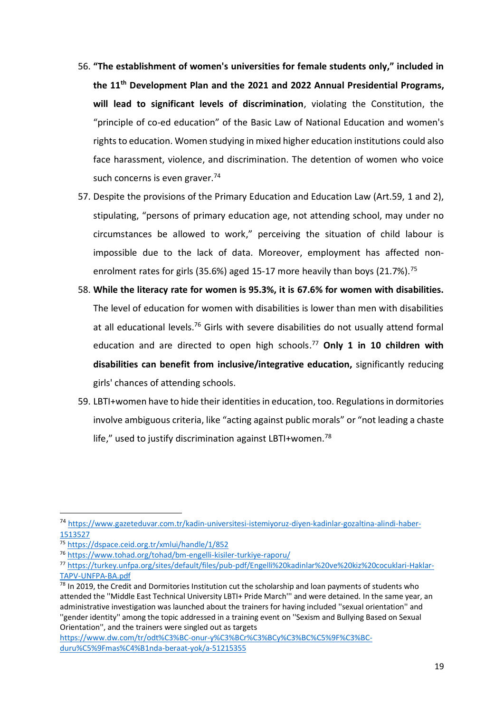- 56. **"The establishment of women's universities for female students only," included in the 11th Development Plan and the 2021 and 2022 Annual Presidential Programs, will lead to significant levels of discrimination**, violating the Constitution, the "principle of co-ed education" of the Basic Law of National Education and women's rights to education. Women studying in mixed higher education institutions could also face harassment, violence, and discrimination. The detention of women who voice such concerns is even graver.<sup>74</sup>
- 57. Despite the provisions of the Primary Education and Education Law (Art.59, 1 and 2), stipulating, "persons of primary education age, not attending school, may under no circumstances be allowed to work," perceiving the situation of child labour is impossible due to the lack of data. Moreover, employment has affected nonenrolment rates for girls (35.6%) aged 15-17 more heavily than boys (21.7%).<sup>75</sup>
- 58. **While the literacy rate for women is 95.3%, it is 67.6% for women with disabilities.** The level of education for women with disabilities is lower than men with disabilities at all educational levels.<sup>76</sup> Girls with severe disabilities do not usually attend formal education and are directed to open high schools. <sup>77</sup> **Only 1 in 10 children with disabilities can benefit from inclusive/integrative education,** significantly reducing girls' chances of attending schools.
- 59. LBTI+women have to hide their identities in education, too. Regulations in dormitories involve ambiguous criteria, like "acting against public morals" or "not leading a chaste life," used to justify discrimination against LBTI+women.<sup>78</sup>

<sup>74</sup> [https://www.gazeteduvar.com.tr/kadin-universitesi-istemiyoruz-diyen-kadinlar-gozaltina-alindi-haber-](https://www.gazeteduvar.com.tr/kadin-universitesi-istemiyoruz-diyen-kadinlar-gozaltina-alindi-haber-1513527)[1513527](https://www.gazeteduvar.com.tr/kadin-universitesi-istemiyoruz-diyen-kadinlar-gozaltina-alindi-haber-1513527)

<sup>75</sup> <https://dspace.ceid.org.tr/xmlui/handle/1/852>

<sup>76</sup> <https://www.tohad.org/tohad/bm-engelli-kisiler-turkiye-raporu/>

<sup>77</sup> [https://turkey.unfpa.org/sites/default/files/pub-pdf/Engelli%20kadinlar%20ve%20kiz%20cocuklari-Haklar-](https://turkey.unfpa.org/sites/default/files/pub-pdf/Engelli%20kadinlar%20ve%20kiz%20cocuklari-Haklar-TAPV-UNFPA-BA.pdf)[TAPV-UNFPA-BA.pdf](https://turkey.unfpa.org/sites/default/files/pub-pdf/Engelli%20kadinlar%20ve%20kiz%20cocuklari-Haklar-TAPV-UNFPA-BA.pdf)

<sup>&</sup>lt;sup>78</sup> In 2019, the Credit and Dormitories Institution cut the scholarship and loan payments of students who attended the ''Middle East Technical University LBTI+ Pride March''' and were detained. In the same year, an administrative investigation was launched about the trainers for having included ''sexual orientation'' and ''gender identity'' among the topic addressed in a training event on ''Sexism and Bullying Based on Sexual Orientation'', and the trainers were singled out as targets

[https://www.dw.com/tr/odt%C3%BC-onur-y%C3%BCr%C3%BCy%C3%BC%C5%9F%C3%BC](https://www.dw.com/tr/odt%C3%BC-onur-y%C3%BCr%C3%BCy%C3%BC%C5%9F%C3%BC-duru%C5%9Fmas%C4%B1nda-beraat-yok/a-51215355)[duru%C5%9Fmas%C4%B1nda-beraat-yok/a-51215355](https://www.dw.com/tr/odt%C3%BC-onur-y%C3%BCr%C3%BCy%C3%BC%C5%9F%C3%BC-duru%C5%9Fmas%C4%B1nda-beraat-yok/a-51215355)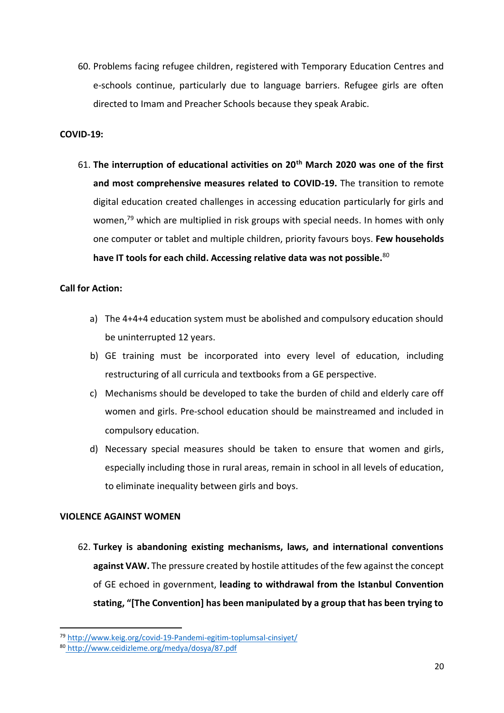60. Problems facing refugee children, registered with Temporary Education Centres and e-schools continue, particularly due to language barriers. Refugee girls are often directed to Imam and Preacher Schools because they speak Arabic.

#### **COVID-19:**

61. **The interruption of educational activities on 20th March 2020 was one of the first**  and most comprehensive measures related to COVID-19. The transition to remote digital education created challenges in accessing education particularly for girls and women,<sup>79</sup> which are multiplied in risk groups with special needs. In homes with only one computer or tablet and multiple children, priority favours boys. **Few households have IT tools for each child. Accessing relative data was not possible.** 80

#### **Call for Action:**

- a) The 4+4+4 education system must be abolished and compulsory education should be uninterrupted 12 years.
- b) GE training must be incorporated into every level of education, including restructuring of all curricula and textbooks from a GE perspective.
- c) Mechanisms should be developed to take the burden of child and elderly care off women and girls. Pre-school education should be mainstreamed and included in compulsory education.
- d) Necessary special measures should be taken to ensure that women and girls, especially including those in rural areas, remain in school in all levels of education, to eliminate inequality between girls and boys.

### **VIOLENCE AGAINST WOMEN**

1

62. **Turkey is abandoning existing mechanisms, laws, and international conventions against VAW.** The pressure created by hostile attitudes of the few against the concept of GE echoed in government, **leading to withdrawal from the Istanbul Convention stating, "[The Convention] has been manipulated by a group that has been trying to** 

<sup>79</sup> [http://www.keig.org/covid-19-Pandemi-egitim-toplumsal-cinsiyet/](http://www.keig.org/covid-19-pandemi-egitim-toplumsal-cinsiyet/)

<sup>80</sup> <http://www.ceidizleme.org/medya/dosya/87.pdf>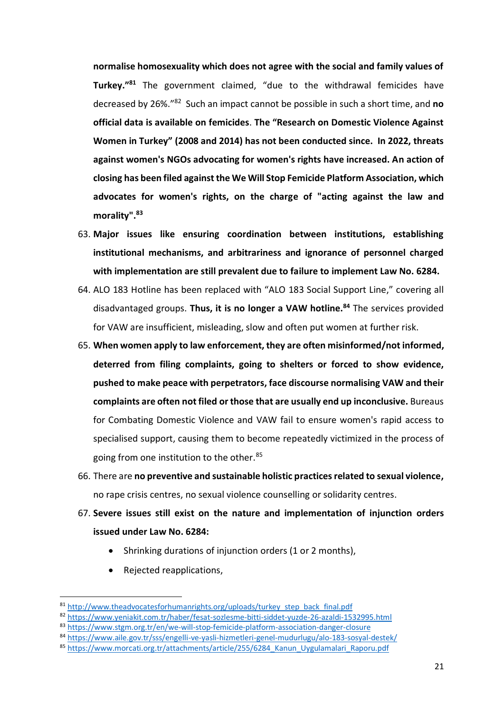**normalise homosexuality which does not agree with the social and family values of Turkey."<sup>81</sup>** The government claimed, "due to the withdrawal femicides have decreased by 26%." 82 Such an impact cannot be possible in such a short time, and **no official data is available on femicides**. **The "Research on Domestic Violence Against Women in Turkey" (2008 and 2014) has not been conducted since. In 2022, threats against women's NGOs advocating for women's rights have increased. An action of closing has been filed against the We Will Stop Femicide Platform Association, which advocates for women's rights, on the charge of "acting against the law and morality".<sup>83</sup>**

- 63. **Major issues like ensuring coordination between institutions, establishing institutional mechanisms, and arbitrariness and ignorance of personnel charged with implementation are still prevalent due to failure to implement Law No. 6284.**
- 64. ALO 183 Hotline has been replaced with "ALO 183 Social Support Line," covering all disadvantaged groups. **Thus, it is no longer a VAW hotline.<sup>84</sup>** The services provided for VAW are insufficient, misleading, slow and often put women at further risk.
- 65. **When women apply to law enforcement, they are often misinformed/not informed, deterred from filing complaints, going to shelters or forced to show evidence, pushed to make peace with perpetrators, face discourse normalising VAW and their complaints are often not filed or those that are usually end up inconclusive.** Bureaus for Combating Domestic Violence and VAW fail to ensure women's rapid access to specialised support, causing them to become repeatedly victimized in the process of going from one institution to the other. 85
- 66. There are **no preventive and sustainable holistic practices related to sexual violence,** no rape crisis centres, no sexual violence counselling or solidarity centres.
- 67. **Severe issues still exist on the nature and implementation of injunction orders issued under Law No. 6284:** 
	- Shrinking durations of injunction orders (1 or 2 months),
	- Rejected reapplications,

<sup>81</sup> [http://www.theadvocatesforhumanrights.org/uploads/turkey\\_step\\_back\\_final.pdf](http://www.theadvocatesforhumanrights.org/uploads/turkey_step_back_final.pdf)

<sup>82</sup> <https://www.yeniakit.com.tr/haber/fesat-sozlesme-bitti-siddet-yuzde-26-azaldi-1532995.html>

<sup>83</sup> <https://www.stgm.org.tr/en/we-will-stop-femicide-platform-association-danger-closure>

<sup>84</sup> <https://www.aile.gov.tr/sss/engelli-ve-yasli-hizmetleri-genel-mudurlugu/alo-183-sosyal-destek/>

<sup>85</sup> https://www.morcati.org.tr/attachments/article/255/6284 Kanun\_Uygulamalari\_Raporu.pdf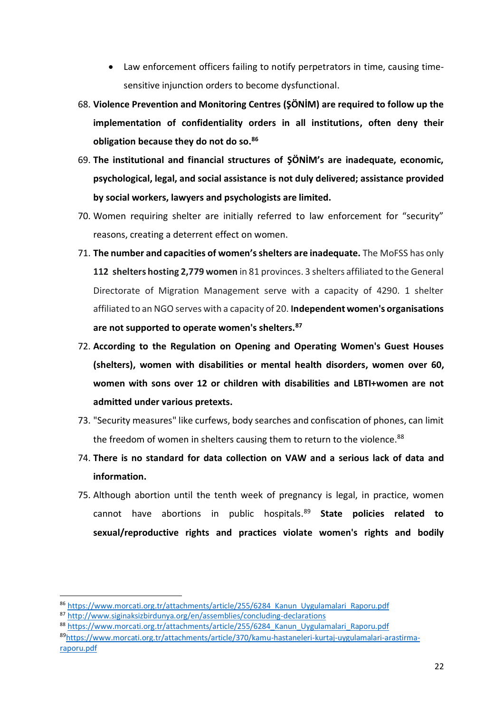- Law enforcement officers failing to notify perpetrators in time, causing timesensitive injunction orders to become dysfunctional.
- 68. **Violence Prevention and Monitoring Centres (ŞÖNİM) are required to follow up the implementation of confidentiality orders in all institutions, often deny their obligation because they do not do so. 86**
- 69. **The institutional and financial structures of ŞÖNİM's are inadequate, economic, psychological, legal, and social assistance is not duly delivered; assistance provided by social workers, lawyers and psychologists are limited.**
- 70. Women requiring shelter are initially referred to law enforcement for "security" reasons, creating a deterrent effect on women.
- 71. **The number and capacities of women's shelters are inadequate.** The MoFSS has only **112 shelters hosting 2,779 women** in 81 provinces. 3 shelters affiliated to the General Directorate of Migration Management serve with a capacity of 4290. 1 shelter affiliated to an NGO serves with a capacity of 20. **Independent women's organisations are not supported to operate women's shelters.<sup>87</sup>**
- 72. **According to the Regulation on Opening and Operating Women's Guest Houses (shelters), women with disabilities or mental health disorders, women over 60, women with sons over 12 or children with disabilities and LBTI+women are not admitted under various pretexts.**
- 73. "Security measures" like curfews, body searches and confiscation of phones, can limit the freedom of women in shelters causing them to return to the violence.<sup>88</sup>
- 74. **There is no standard for data collection on VAW and a serious lack of data and information.**
- 75. Although abortion until the tenth week of pregnancy is legal, in practice, women cannot have abortions in public hospitals.<sup>89</sup> **State policies related to sexual/reproductive rights and practices violate women's rights and bodily**

**.** 

<sup>86</sup> [https://www.morcati.org.tr/attachments/article/255/6284\\_Kanun\\_Uygulamalari\\_Raporu.pdf](https://www.morcati.org.tr/attachments/article/255/6284_Kanun_Uygulamalari_Raporu.pdf)

<sup>87</sup> <http://www.siginaksizbirdunya.org/en/assemblies/concluding-declarations>

<sup>88</sup> https://www.morcati.org.tr/attachments/article/255/6284 Kanun\_Uygulamalari\_Raporu.pdf

<sup>89</sup>[https://www.morcati.org.tr/attachments/article/370/kamu-hastaneleri-kurtaj-uygulamalari-arastirma](https://www.morcati.org.tr/attachments/article/370/kamu-hastaneleri-kurtaj-uygulamalari-arastirma-raporu.pdf)[raporu.pdf](https://www.morcati.org.tr/attachments/article/370/kamu-hastaneleri-kurtaj-uygulamalari-arastirma-raporu.pdf)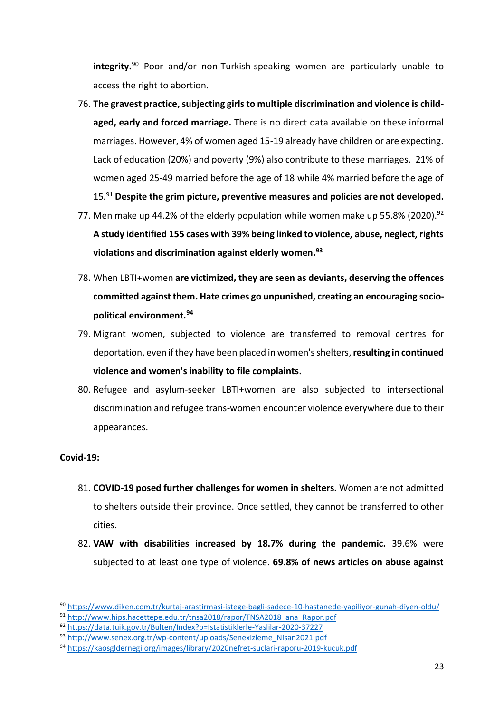**integrity.**<sup>90</sup> Poor and/or non-Turkish-speaking women are particularly unable to access the right to abortion.

- 76. The gravest practice, subjecting girls to multiple discrimination and violence is child**aged, early and forced marriage.** There is no direct data available on these informal marriages. However, 4% of women aged 15-19 already have children or are expecting. Lack of education (20%) and poverty (9%) also contribute to these marriages. 21% of women aged 25-49 married before the age of 18 while 4% married before the age of 15.<sup>91</sup> **Despite the grim picture, preventive measures and policies are not developed.**
- 77. Men make up 44.2% of the elderly population while women make up 55.8% (2020).<sup>92</sup> **A study identified 155 cases with 39% being linked to violence, abuse, neglect, rights violations and discrimination against elderly women.<sup>93</sup>**
- 78. When LBTI+women **are victimized, they are seen as deviants, deserving the offences committed against them. Hate crimes go unpunished, creating an encouraging sociopolitical environment.<sup>94</sup>**
- 79. Migrant women, subjected to violence are transferred to removal centres for deportation, even if they have been placed in women's shelters,**resulting in continued violence and women's inability to file complaints.**
- 80. Refugee and asylum-seeker LBTI+women are also subjected to intersectional discrimination and refugee trans-women encounter violence everywhere due to their appearances.

# **Covid-19:**

- 81. **COVID-19 posed further challenges for women in shelters.** Women are not admitted to shelters outside their province. Once settled, they cannot be transferred to other cities.
- 82. **VAW with disabilities increased by 18.7% during the pandemic.** 39.6% were subjected to at least one type of violence. **69.8% of news articles on abuse against**

<sup>90</sup> <https://www.diken.com.tr/kurtaj-arastirmasi-istege-bagli-sadece-10-hastanede-yapiliyor-gunah-diyen-oldu/>

<sup>91</sup> [http://www.hips.hacettepe.edu.tr/tnsa2018/rapor/TNSA2018\\_ana\\_Rapor.pdf](http://www.hips.hacettepe.edu.tr/tnsa2018/rapor/TNSA2018_ana_Rapor.pdf)

<sup>92</sup> <https://data.tuik.gov.tr/Bulten/Index?p=Istatistiklerle-Yaslilar-2020-37227>

<sup>93</sup> [http://www.senex.org.tr/wp-content/uploads/SenexIzleme\\_Nisan2021.pdf](http://www.senex.org.tr/wp-content/uploads/SenexIzleme_Nisan2021.pdf)

<sup>94</sup> <https://kaosgldernegi.org/images/library/2020nefret-suclari-raporu-2019-kucuk.pdf>